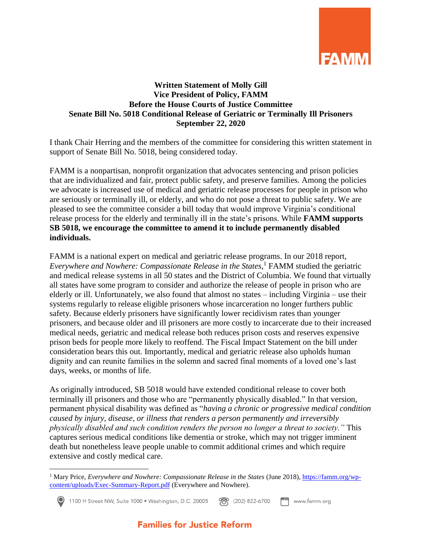

## **Written Statement of Molly Gill Vice President of Policy, FAMM Before the House Courts of Justice Committee Senate Bill No. 5018 Conditional Release of Geriatric or Terminally Ill Prisoners September 22, 2020**

I thank Chair Herring and the members of the committee for considering this written statement in support of Senate Bill No. 5018, being considered today.

FAMM is a nonpartisan, nonprofit organization that advocates sentencing and prison policies that are individualized and fair, protect public safety, and preserve families. Among the policies we advocate is increased use of medical and geriatric release processes for people in prison who are seriously or terminally ill, or elderly, and who do not pose a threat to public safety. We are pleased to see the committee consider a bill today that would improve Virginia's conditional release process for the elderly and terminally ill in the state's prisons. While **FAMM supports SB 5018, we encourage the committee to amend it to include permanently disabled individuals.**

FAMM is a national expert on medical and geriatric release programs. In our 2018 report, *Everywhere and Nowhere: Compassionate Release in the States*, <sup>1</sup> FAMM studied the geriatric and medical release systems in all 50 states and the District of Columbia. We found that virtually all states have some program to consider and authorize the release of people in prison who are elderly or ill. Unfortunately, we also found that almost no states – including Virginia – use their systems regularly to release eligible prisoners whose incarceration no longer furthers public safety. Because elderly prisoners have significantly lower recidivism rates than younger prisoners, and because older and ill prisoners are more costly to incarcerate due to their increased medical needs, geriatric and medical release both reduces prison costs and reserves expensive prison beds for people more likely to reoffend. The Fiscal Impact Statement on the bill under consideration bears this out. Importantly, medical and geriatric release also upholds human dignity and can reunite families in the solemn and sacred final moments of a loved one's last days, weeks, or months of life.

As originally introduced, SB 5018 would have extended conditional release to cover both terminally ill prisoners and those who are "permanently physically disabled." In that version, permanent physical disability was defined as "*having a chronic or progressive medical condition caused by injury, disease, or illness that renders a person permanently and irreversibly physically disabled and such condition renders the person no longer a threat to society."* This captures serious medical conditions like dementia or stroke, which may not trigger imminent death but nonetheless leave people unable to commit additional crimes and which require extensive and costly medical care.

 $\overline{a}$ 

<sup>1</sup> Mary Price, *Everywhere and Nowhere: Compassionate Release in the States* (June 2018), [https://famm.org/wp](https://famm.org/wp-content/uploads/Exec-Summary-Report.pdf)[content/uploads/Exec-Summary-Report.pdf](https://famm.org/wp-content/uploads/Exec-Summary-Report.pdf) (Everywhere and Nowhere).

<sup>1100</sup> H Street NW, Suite 1000 • Washington, D.C. 20005 **188** (202) 822-6700 www.famm.org